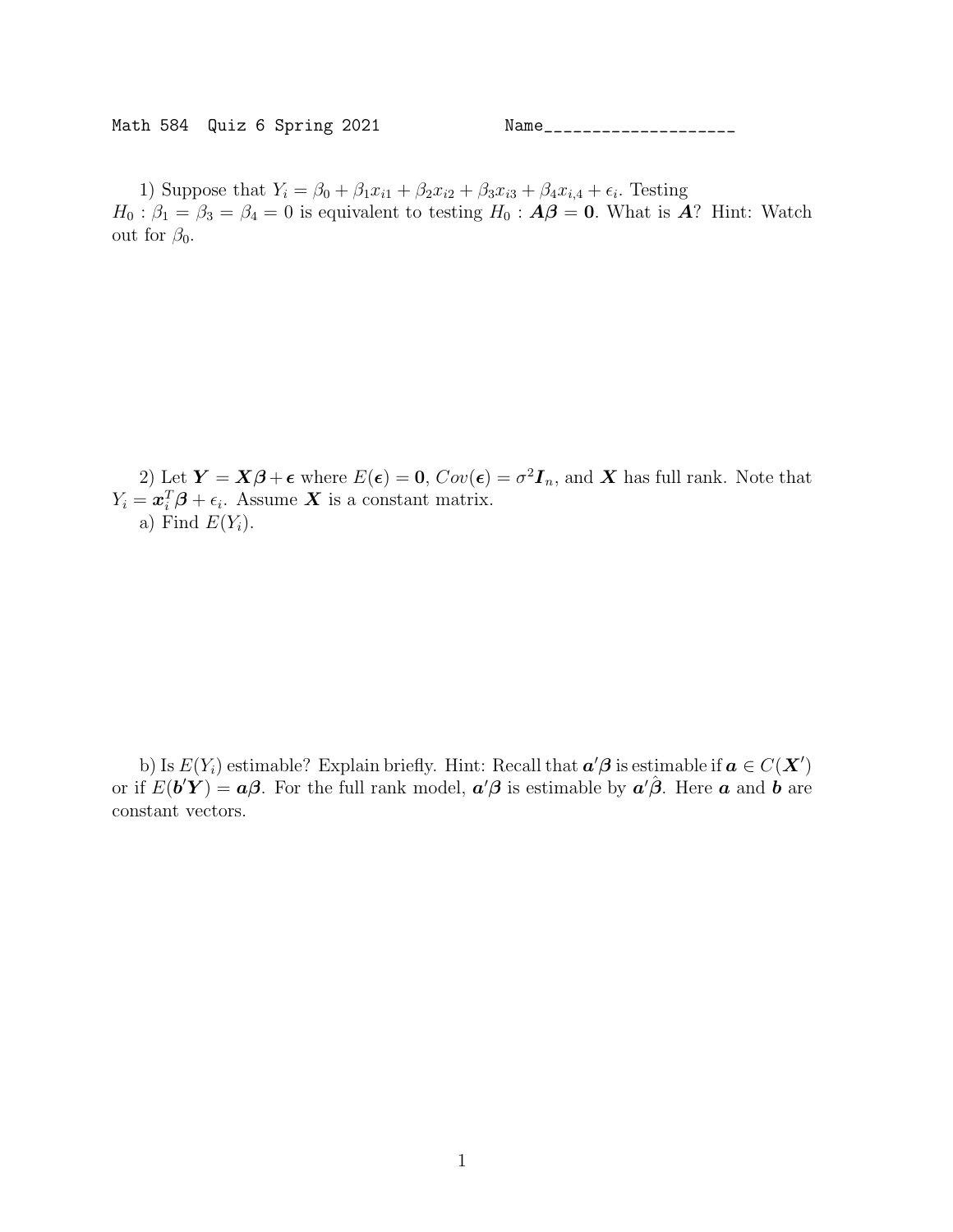1) Suppose that  $Y_i = \beta_0 + \beta_1 x_{i1} + \beta_2 x_{i2} + \beta_3 x_{i3} + \beta_4 x_{i,4} + \epsilon_i$ . Testing  $H_0$ :  $\beta_1 = \beta_3 = \beta_4 = 0$  is equivalent to testing  $H_0$ :  $\mathbf{A}\boldsymbol{\beta} = \mathbf{0}$ . What is  $\mathbf{A}$ ? Hint: Watch out for  $\beta_0$ .

2) Let  $\mathbf{Y} = \mathbf{X}\boldsymbol{\beta} + \boldsymbol{\epsilon}$  where  $E(\boldsymbol{\epsilon}) = \mathbf{0}$ ,  $Cov(\boldsymbol{\epsilon}) = \sigma^2 \mathbf{I}_n$ , and  $\mathbf{X}$  has full rank. Note that  $Y_i = \boldsymbol{x}_i^T \boldsymbol{\beta} + \epsilon_i$ . Assume **X** is a constant matrix. a) Find  $E(Y_i)$ .

b) Is  $E(Y_i)$  estimable? Explain briefly. Hint: Recall that  $a'\beta$  is estimable if  $a \in C(X')$ or if  $E(b'Y) = a\beta$ . For the full rank model,  $a'\beta$  is estimable by  $a'\hat{\beta}$ . Here a and b are constant vectors.